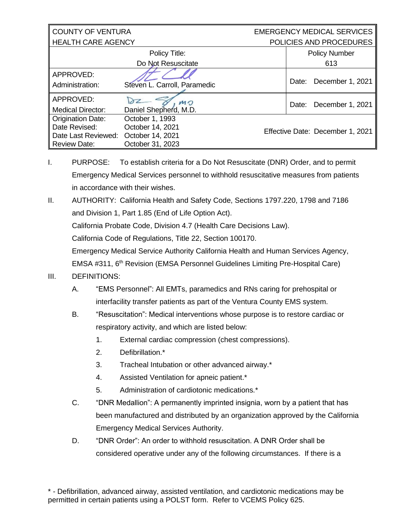| <b>COUNTY OF VENTURA</b>  |                              | <b>EMERGENCY MEDICAL SERVICES</b> |                      |
|---------------------------|------------------------------|-----------------------------------|----------------------|
| <b>HEALTH CARE AGENCY</b> |                              | POLICIES AND PROCEDURES           |                      |
|                           | Policy Title:                |                                   | <b>Policy Number</b> |
|                           | Do Not Resuscitate           |                                   | 613                  |
| APPROVED:                 |                              |                                   |                      |
| Administration:           | Steven L. Carroll, Paramedic | Date:                             | December 1, 2021     |
| APPROVED:                 | MO                           | Date:                             | December 1, 2021     |
| <b>Medical Director:</b>  | Daniel Shepherd, M.D.        |                                   |                      |
| <b>Origination Date:</b>  | October 1, 1993              |                                   |                      |
| Date Revised:             | October 14, 2021             | Effective Date: December 1, 2021  |                      |
| Date Last Reviewed:       | October 14, 2021             |                                   |                      |
| <b>Review Date:</b>       | October 31, 2023             |                                   |                      |

- I. PURPOSE: To establish criteria for a Do Not Resuscitate (DNR) Order, and to permit Emergency Medical Services personnel to withhold resuscitative measures from patients in accordance with their wishes.
- II. AUTHORITY: California Health and Safety Code, Sections 1797.220, 1798 and 7186 and Division 1, Part 1.85 (End of Life Option Act). California Probate Code, Division 4.7 (Health Care Decisions Law). California Code of Regulations, Title 22, Section 100170. Emergency Medical Service Authority California Health and Human Services Agency, EMSA #311, 6<sup>th</sup> Revision (EMSA Personnel Guidelines Limiting Pre-Hospital Care)
- III. DEFINITIONS:
	- A. "EMS Personnel": All EMTs, paramedics and RNs caring for prehospital or interfacility transfer patients as part of the Ventura County EMS system.
	- B. "Resuscitation": Medical interventions whose purpose is to restore cardiac or respiratory activity, and which are listed below:
		- 1. External cardiac compression (chest compressions).
		- 2. Defibrillation.\*
		- 3. Tracheal Intubation or other advanced airway.\*
		- 4. Assisted Ventilation for apneic patient.\*
		- 5. Administration of cardiotonic medications.\*
	- C. "DNR Medallion": A permanently imprinted insignia, worn by a patient that has been manufactured and distributed by an organization approved by the California Emergency Medical Services Authority.
	- D. "DNR Order": An order to withhold resuscitation. A DNR Order shall be considered operative under any of the following circumstances. If there is a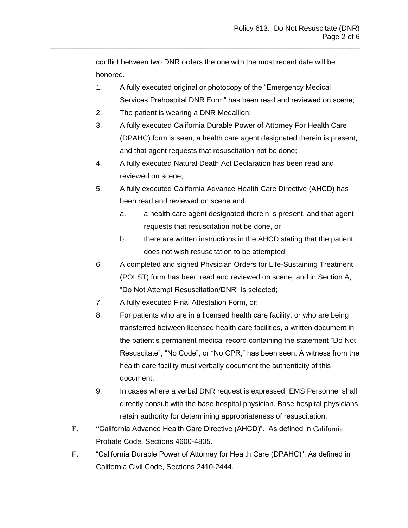conflict between two DNR orders the one with the most recent date will be honored.

\_\_\_\_\_\_\_\_\_\_\_\_\_\_\_\_\_\_\_\_\_\_\_\_\_\_\_\_\_\_\_\_\_\_\_\_\_\_\_\_\_\_\_\_\_\_\_\_\_\_\_\_\_\_\_\_\_\_\_\_\_\_\_\_\_\_\_\_\_\_\_\_\_\_\_\_

- 1. A fully executed original or photocopy of the "Emergency Medical Services Prehospital DNR Form" has been read and reviewed on scene;
- 2. The patient is wearing a DNR Medallion;
- 3. A fully executed California Durable Power of Attorney For Health Care (DPAHC) form is seen, a health care agent designated therein is present, and that agent requests that resuscitation not be done;
- 4. A fully executed Natural Death Act Declaration has been read and reviewed on scene;
- 5. A fully executed California Advance Health Care Directive (AHCD) has been read and reviewed on scene and:
	- a. a health care agent designated therein is present, and that agent requests that resuscitation not be done, or
	- b. there are written instructions in the AHCD stating that the patient does not wish resuscitation to be attempted;
- 6. A completed and signed Physician Orders for Life-Sustaining Treatment (POLST) form has been read and reviewed on scene, and in Section A, "Do Not Attempt Resuscitation/DNR" is selected;
- 7. A fully executed Final Attestation Form, or;
- 8. For patients who are in a licensed health care facility, or who are being transferred between licensed health care facilities, a written document in the patient's permanent medical record containing the statement "Do Not Resuscitate", "No Code", or "No CPR," has been seen. A witness from the health care facility must verbally document the authenticity of this document.
- 9. In cases where a verbal DNR request is expressed, EMS Personnel shall directly consult with the base hospital physician. Base hospital physicians retain authority for determining appropriateness of resuscitation.
- E. "California Advance Health Care Directive (AHCD)". As defined in California Probate Code, Sections 4600-4805.
- F. "California Durable Power of Attorney for Health Care (DPAHC)": As defined in California Civil Code, Sections 2410-2444.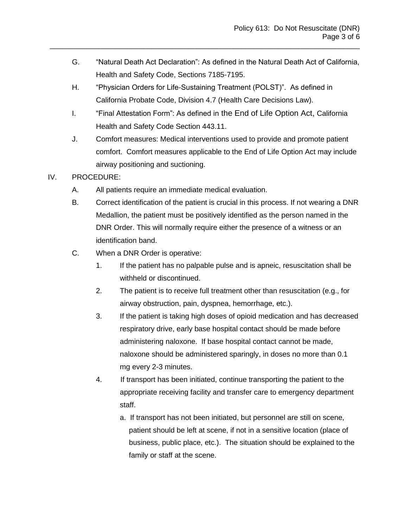- G. "Natural Death Act Declaration": As defined in the Natural Death Act of California, Health and Safety Code, Sections 7185-7195.
- H. "Physician Orders for Life-Sustaining Treatment (POLST)". As defined in California Probate Code, Division 4.7 (Health Care Decisions Law).

\_\_\_\_\_\_\_\_\_\_\_\_\_\_\_\_\_\_\_\_\_\_\_\_\_\_\_\_\_\_\_\_\_\_\_\_\_\_\_\_\_\_\_\_\_\_\_\_\_\_\_\_\_\_\_\_\_\_\_\_\_\_\_\_\_\_\_\_\_\_\_\_\_\_\_\_

- I. "Final Attestation Form": As defined in the End of Life Option Act, California Health and Safety Code Section 443.11.
- J. Comfort measures: Medical interventions used to provide and promote patient comfort. Comfort measures applicable to the End of Life Option Act may include airway positioning and suctioning.
- IV. PROCEDURE:
	- A. All patients require an immediate medical evaluation.
	- B. Correct identification of the patient is crucial in this process. If not wearing a DNR Medallion, the patient must be positively identified as the person named in the DNR Order. This will normally require either the presence of a witness or an identification band.
	- C. When a DNR Order is operative:
		- 1. If the patient has no palpable pulse and is apneic, resuscitation shall be withheld or discontinued.
		- 2. The patient is to receive full treatment other than resuscitation (e.g., for airway obstruction, pain, dyspnea, hemorrhage, etc.).
		- 3. If the patient is taking high doses of opioid medication and has decreased respiratory drive, early base hospital contact should be made before administering naloxone. If base hospital contact cannot be made, naloxone should be administered sparingly, in doses no more than 0.1 mg every 2-3 minutes.
		- 4. If transport has been initiated, continue transporting the patient to the appropriate receiving facility and transfer care to emergency department staff.
			- a. If transport has not been initiated, but personnel are still on scene, patient should be left at scene, if not in a sensitive location (place of business, public place, etc.). The situation should be explained to the family or staff at the scene.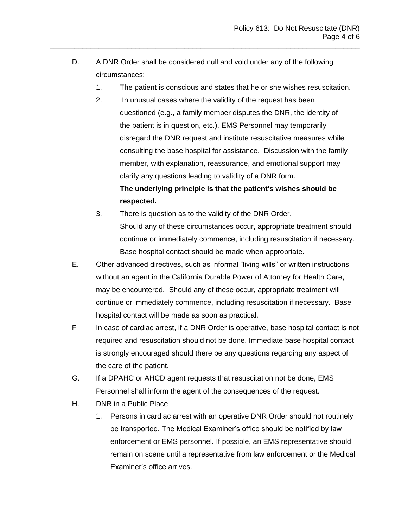D. A DNR Order shall be considered null and void under any of the following circumstances:

\_\_\_\_\_\_\_\_\_\_\_\_\_\_\_\_\_\_\_\_\_\_\_\_\_\_\_\_\_\_\_\_\_\_\_\_\_\_\_\_\_\_\_\_\_\_\_\_\_\_\_\_\_\_\_\_\_\_\_\_\_\_\_\_\_\_\_\_\_\_\_\_\_\_\_\_

- 1. The patient is conscious and states that he or she wishes resuscitation.
- 2. In unusual cases where the validity of the request has been questioned (e.g., a family member disputes the DNR, the identity of the patient is in question, etc.), EMS Personnel may temporarily disregard the DNR request and institute resuscitative measures while consulting the base hospital for assistance. Discussion with the family member, with explanation, reassurance, and emotional support may clarify any questions leading to validity of a DNR form. **The underlying principle is that the patient's wishes should be**

3. There is question as to the validity of the DNR Order. Should any of these circumstances occur, appropriate treatment should continue or immediately commence, including resuscitation if necessary. Base hospital contact should be made when appropriate.

- E. Other advanced directives, such as informal "living wills" or written instructions without an agent in the California Durable Power of Attorney for Health Care, may be encountered. Should any of these occur, appropriate treatment will continue or immediately commence, including resuscitation if necessary. Base hospital contact will be made as soon as practical.
- F In case of cardiac arrest, if a DNR Order is operative, base hospital contact is not required and resuscitation should not be done. Immediate base hospital contact is strongly encouraged should there be any questions regarding any aspect of the care of the patient.
- G. If a DPAHC or AHCD agent requests that resuscitation not be done, EMS Personnel shall inform the agent of the consequences of the request.
- H. DNR in a Public Place

**respected.**

1. Persons in cardiac arrest with an operative DNR Order should not routinely be transported. The Medical Examiner's office should be notified by law enforcement or EMS personnel. If possible, an EMS representative should remain on scene until a representative from law enforcement or the Medical Examiner's office arrives.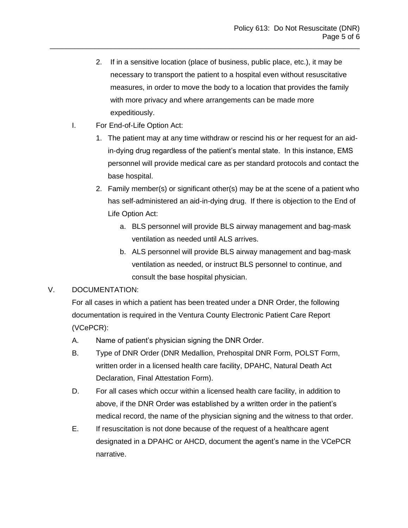2. If in a sensitive location (place of business, public place, etc.), it may be necessary to transport the patient to a hospital even without resuscitative measures, in order to move the body to a location that provides the family with more privacy and where arrangements can be made more expeditiously.

\_\_\_\_\_\_\_\_\_\_\_\_\_\_\_\_\_\_\_\_\_\_\_\_\_\_\_\_\_\_\_\_\_\_\_\_\_\_\_\_\_\_\_\_\_\_\_\_\_\_\_\_\_\_\_\_\_\_\_\_\_\_\_\_\_\_\_\_\_\_\_\_\_\_\_\_

- I. For End-of-Life Option Act:
	- 1. The patient may at any time withdraw or rescind his or her request for an aidin-dying drug regardless of the patient's mental state. In this instance, EMS personnel will provide medical care as per standard protocols and contact the base hospital.
	- 2. Family member(s) or significant other(s) may be at the scene of a patient who has self-administered an aid-in-dying drug. If there is objection to the End of Life Option Act:
		- a. BLS personnel will provide BLS airway management and bag-mask ventilation as needed until ALS arrives.
		- b. ALS personnel will provide BLS airway management and bag-mask ventilation as needed, or instruct BLS personnel to continue, and consult the base hospital physician.

## V. DOCUMENTATION:

For all cases in which a patient has been treated under a DNR Order, the following documentation is required in the Ventura County Electronic Patient Care Report (VCePCR):

- A. Name of patient's physician signing the DNR Order.
- B. Type of DNR Order (DNR Medallion, Prehospital DNR Form, POLST Form, written order in a licensed health care facility, DPAHC, Natural Death Act Declaration, Final Attestation Form).
- D. For all cases which occur within a licensed health care facility, in addition to above, if the DNR Order was established by a written order in the patient's medical record, the name of the physician signing and the witness to that order.
- E. If resuscitation is not done because of the request of a healthcare agent designated in a DPAHC or AHCD, document the agent's name in the VCePCR narrative.